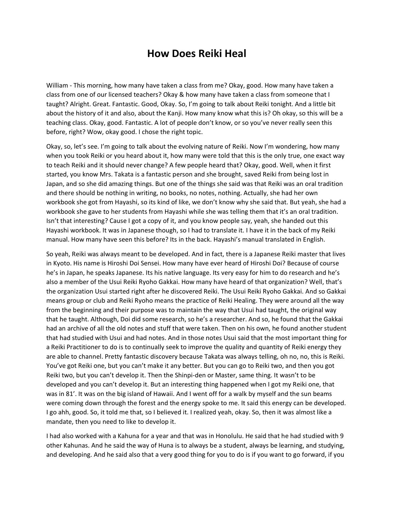## **How Does Reiki Heal**

William - This morning, how many have taken a class from me? Okay, good. How many have taken a class from one of our licensed teachers? Okay & how many have taken a class from someone that I taught? Alright. Great. Fantastic. Good, Okay. So, I'm going to talk about Reiki tonight. And a little bit about the history of it and also, about the Kanji. How many know what this is? Oh okay, so this will be a teaching class. Okay, good. Fantastic. A lot of people don't know, or so you've never really seen this before, right? Wow, okay good. I chose the right topic.

Okay, so, let's see. I'm going to talk about the evolving nature of Reiki. Now I'm wondering, how many when you took Reiki or you heard about it, how many were told that this is the only true, one exact way to teach Reiki and it should never change? A few people heard that? Okay, good. Well, when it first started, you know Mrs. Takata is a fantastic person and she brought, saved Reiki from being lost in Japan, and so she did amazing things. But one of the things she said was that Reiki was an oral tradition and there should be nothing in writing, no books, no notes, nothing. Actually, she had her own workbook she got from Hayashi, so its kind of like, we don't know why she said that. But yeah, she had a workbook she gave to her students from Hayashi while she was telling them that it's an oral tradition. Isn't that interesting? Cause I got a copy of it, and you know people say, yeah, she handed out this Hayashi workbook. It was in Japanese though, so I had to translate it. I have it in the back of my Reiki manual. How many have seen this before? Its in the back. Hayashi's manual translated in English.

So yeah, Reiki was always meant to be developed. And in fact, there is a Japanese Reiki master that lives in Kyoto. His name is Hiroshi Doi Sensei. How many have ever heard of Hiroshi Doi? Because of course he's in Japan, he speaks Japanese. Its his native language. Its very easy for him to do research and he's also a member of the Usui Reiki Ryoho Gakkai. How many have heard of that organization? Well, that's the organization Usui started right after he discovered Reiki. The Usui Reiki Ryoho Gakkai. And so Gakkai means group or club and Reiki Ryoho means the practice of Reiki Healing. They were around all the way from the beginning and their purpose was to maintain the way that Usui had taught, the original way that he taught. Although, Doi did some research, so he's a researcher. And so, he found that the Gakkai had an archive of all the old notes and stuff that were taken. Then on his own, he found another student that had studied with Usui and had notes. And in those notes Usui said that the most important thing for a Reiki Practitioner to do is to continually seek to improve the quality and quantity of Reiki energy they are able to channel. Pretty fantastic discovery because Takata was always telling, oh no, no, this is Reiki. You've got Reiki one, but you can't make it any better. But you can go to Reiki two, and then you got Reiki two, but you can't develop it. Then the Shinpi-den or Master, same thing. It wasn't to be developed and you can't develop it. But an interesting thing happened when I got my Reiki one, that was in 81'. It was on the big island of Hawaii. And I went off for a walk by myself and the sun beams were coming down through the forest and the energy spoke to me. It said this energy can be developed. I go ahh, good. So, it told me that, so I believed it. I realized yeah, okay. So, then it was almost like a mandate, then you need to like to develop it.

I had also worked with a Kahuna for a year and that was in Honolulu. He said that he had studied with 9 other Kahunas. And he said the way of Huna is to always be a student, always be learning, and studying, and developing. And he said also that a very good thing for you to do is if you want to go forward, if you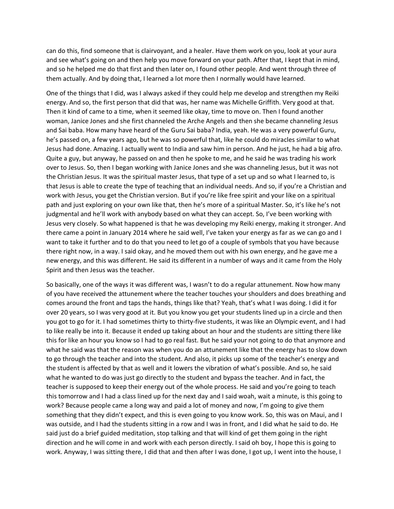can do this, find someone that is clairvoyant, and a healer. Have them work on you, look at your aura and see what's going on and then help you move forward on your path. After that, I kept that in mind, and so he helped me do that first and then later on, I found other people. And went through three of them actually. And by doing that, I learned a lot more then I normally would have learned.

One of the things that I did, was I always asked if they could help me develop and strengthen my Reiki energy. And so, the first person that did that was, her name was Michelle Griffith. Very good at that. Then it kind of came to a time, when it seemed like okay, time to move on. Then I found another woman, Janice Jones and she first channeled the Arche Angels and then she became channeling Jesus and Sai baba. How many have heard of the Guru Sai baba? India, yeah. He was a very powerful Guru, he's passed on, a few years ago, but he was so powerful that, like he could do miracles similar to what Jesus had done. Amazing. I actually went to India and saw him in person. And he just, he had a big afro. Quite a guy, but anyway, he passed on and then he spoke to me, and he said he was trading his work over to Jesus. So, then I began working with Janice Jones and she was channeling Jesus, but it was not the Christian Jesus. It was the spiritual master Jesus, that type of a set up and so what I learned to, is that Jesus is able to create the type of teaching that an individual needs. And so, if you're a Christian and work with Jesus, you get the Christian version. But if you're like free spirit and your like on a spiritual path and just exploring on your own like that, then he's more of a spiritual Master. So, it's like he's not judgmental and he'll work with anybody based on what they can accept. So, I've been working with Jesus very closely. So what happened is that he was developing my Reiki energy, making it stronger. And there came a point in January 2014 where he said well, I've taken your energy as far as we can go and I want to take it further and to do that you need to let go of a couple of symbols that you have because there right now, in a way. I said okay, and he moved them out with his own energy, and he gave me a new energy, and this was different. He said its different in a number of ways and it came from the Holy Spirit and then Jesus was the teacher.

So basically, one of the ways it was different was, I wasn't to do a regular attunement. Now how many of you have received the attunement where the teacher touches your shoulders and does breathing and comes around the front and taps the hands, things like that? Yeah, that's what I was doing. I did it for over 20 years, so I was very good at it. But you know you get your students lined up in a circle and then you got to go for it. I had sometimes thirty to thirty-five students, it was like an Olympic event, and I had to like really be into it. Because it ended up taking about an hour and the students are sitting there like this for like an hour you know so I had to go real fast. But he said your not going to do that anymore and what he said was that the reason was when you do an attunement like that the energy has to slow down to go through the teacher and into the student. And also, it picks up some of the teacher's energy and the student is affected by that as well and it lowers the vibration of what's possible. And so, he said what he wanted to do was just go directly to the student and bypass the teacher. And in fact, the teacher is supposed to keep their energy out of the whole process. He said and you're going to teach this tomorrow and I had a class lined up for the next day and I said woah, wait a minute, is this going to work? Because people came a long way and paid a lot of money and now, I'm going to give them something that they didn't expect, and this is even going to you know work. So, this was on Maui, and I was outside, and I had the students sitting in a row and I was in front, and I did what he said to do. He said just do a brief guided meditation, stop talking and that will kind of get them going in the right direction and he will come in and work with each person directly. I said oh boy, I hope this is going to work. Anyway, I was sitting there, I did that and then after I was done, I got up, I went into the house, I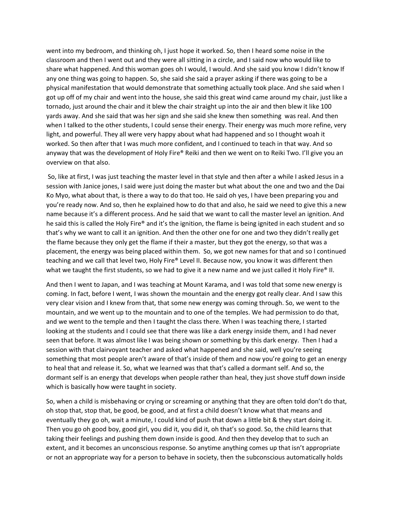went into my bedroom, and thinking oh, I just hope it worked. So, then I heard some noise in the classroom and then I went out and they were all sitting in a circle, and I said now who would like to share what happened. And this woman goes oh I would, I would. And she said you know I didn't know If any one thing was going to happen. So, she said she said a prayer asking if there was going to be a physical manifestation that would demonstrate that something actually took place. And she said when I got up off of my chair and went into the house, she said this great wind came around my chair, just like a tornado, just around the chair and it blew the chair straight up into the air and then blew it like 100 yards away. And she said that was her sign and she said she knew then something was real. And then when I talked to the other students, I could sense their energy. Their energy was much more refine, very light, and powerful. They all were very happy about what had happened and so I thought woah it worked. So then after that I was much more confident, and I continued to teach in that way. And so anyway that was the development of Holy Fire® Reiki and then we went on to Reiki Two. I'll give you an overview on that also.

So, like at first, I was just teaching the master level in that style and then after a while I asked Jesus in a session with Janice jones, I said were just doing the master but what about the one and two and the Dai Ko Myo, what about that, is there a way to do that too. He said oh yes, I have been preparing you and you're ready now. And so, then he explained how to do that and also, he said we need to give this a new name because it's a different process. And he said that we want to call the master level an ignition. And he said this is called the Holy Fire® and it's the ignition, the flame is being ignited in each student and so that's why we want to call it an ignition. And then the other one for one and two they didn't really get the flame because they only get the flame if their a master, but they got the energy, so that was a placement, the energy was being placed within them. So, we got new names for that and so I continued teaching and we call that level two, Holy Fire® Level II. Because now, you know it was different then what we taught the first students, so we had to give it a new name and we just called it Holy Fire® II.

And then I went to Japan, and I was teaching at Mount Karama, and I was told that some new energy is coming. In fact, before I went, I was shown the mountain and the energy got really clear. And I saw this very clear vision and I knew from that, that some new energy was coming through. So, we went to the mountain, and we went up to the mountain and to one of the temples. We had permission to do that, and we went to the temple and then I taught the class there. When I was teaching there, I started looking at the students and I could see that there was like a dark energy inside them, and I had never seen that before. It was almost like I was being shown or something by this dark energy. Then I had a session with that clairvoyant teacher and asked what happened and she said, well you're seeing something that most people aren't aware of that's inside of them and now you're going to get an energy to heal that and release it. So, what we learned was that that's called a dormant self. And so, the dormant self is an energy that develops when people rather than heal, they just shove stuff down inside which is basically how were taught in society.

So, when a child is misbehaving or crying or screaming or anything that they are often told don't do that, oh stop that, stop that, be good, be good, and at first a child doesn't know what that means and eventually they go oh, wait a minute, I could kind of push that down a little bit & they start doing it. Then you go oh good boy, good girl, you did it, you did it, oh that's so good. So, the child learns that taking their feelings and pushing them down inside is good. And then they develop that to such an extent, and it becomes an unconscious response. So anytime anything comes up that isn't appropriate or not an appropriate way for a person to behave in society, then the subconscious automatically holds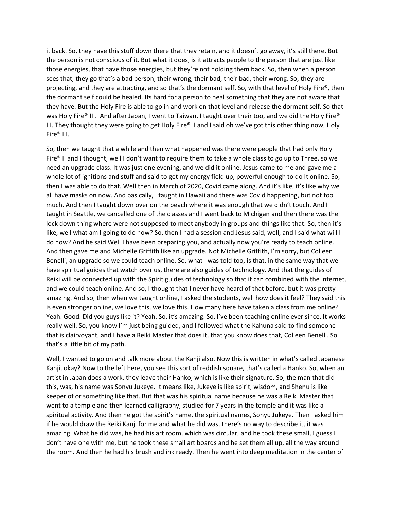it back. So, they have this stuff down there that they retain, and it doesn't go away, it's still there. But the person is not conscious of it. But what it does, is it attracts people to the person that are just like those energies, that have those energies, but they're not holding them back. So, then when a person sees that, they go that's a bad person, their wrong, their bad, their bad, their wrong. So, they are projecting, and they are attracting, and so that's the dormant self. So, with that level of Holy Fire®, then the dormant self could be healed. Its hard for a person to heal something that they are not aware that they have. But the Holy Fire is able to go in and work on that level and release the dormant self. So that was Holy Fire® III. And after Japan, I went to Taiwan, I taught over their too, and we did the Holy Fire® III. They thought they were going to get Holy Fire® II and I said oh we've got this other thing now, Holy Fire® III.

So, then we taught that a while and then what happened was there were people that had only Holy Fire® II and I thought, well I don't want to require them to take a whole class to go up to Three, so we need an upgrade class. It was just one evening, and we did it online. Jesus came to me and gave me a whole lot of ignitions and stuff and said to get my energy field up, powerful enough to do It online. So, then I was able to do that. Well then in March of 2020, Covid came along. And it's like, it's like why we all have masks on now. And basically, I taught in Hawaii and there was Covid happening, but not too much. And then I taught down over on the beach where it was enough that we didn't touch. And I taught in Seattle, we cancelled one of the classes and I went back to Michigan and then there was the lock down thing where were not supposed to meet anybody in groups and things like that. So, then it's like, well what am I going to do now? So, then I had a session and Jesus said, well, and I said what will I do now? And he said Well I have been preparing you, and actually now you're ready to teach online. And then gave me and Michelle Griffith like an upgrade. Not Michelle Griffith, I'm sorry, but Colleen Benelli, an upgrade so we could teach online. So, what I was told too, is that, in the same way that we have spiritual guides that watch over us, there are also guides of technology. And that the guides of Reiki will be connected up with the Spirit guides of technology so that it can combined with the internet, and we could teach online. And so, I thought that I never have heard of that before, but it was pretty amazing. And so, then when we taught online, I asked the students, well how does it feel? They said this is even stronger online, we love this, we love this. How many here have taken a class from me online? Yeah. Good. Did you guys like it? Yeah. So, it's amazing. So, I've been teaching online ever since. It works really well. So, you know I'm just being guided, and I followed what the Kahuna said to find someone that is clairvoyant, and I have a Reiki Master that does it, that you know does that, Colleen Benelli. So that's a little bit of my path.

Well, I wanted to go on and talk more about the Kanji also. Now this is written in what's called Japanese Kanji, okay? Now to the left here, you see this sort of reddish square, that's called a Hanko. So, when an artist in Japan does a work, they leave their Hanko, which is like their signature. So, the man that did this, was, his name was Sonyu Jukeye. It means like, Jukeye is like spirit, wisdom, and Shenu is like keeper of or something like that. But that was his spiritual name because he was a Reiki Master that went to a temple and then learned calligraphy, studied for 7 years in the temple and it was like a spiritual activity. And then he got the spirit's name, the spiritual names, Sonyu Jukeye. Then I asked him if he would draw the Reiki Kanji for me and what he did was, there's no way to describe it, it was amazing. What he did was, he had his art room, which was circular, and he took these small, I guess I don't have one with me, but he took these small art boards and he set them all up, all the way around the room. And then he had his brush and ink ready. Then he went into deep meditation in the center of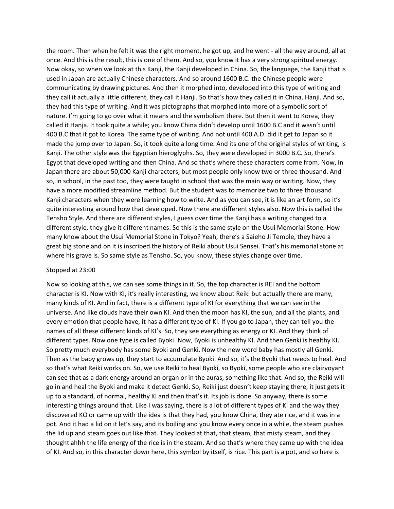the room. Then when he felt it was the right moment, he got up, and he went - all the way around, all at once. And this is the result, this is one of them. And so, you know it has a very strong spiritual energy. Now okay, so when we look at this Kanji, the Kanji developed in China. So, the language, the Kanji that is used in Japan are actually Chinese characters. And so around 1600 B.C. the Chinese people were communicating by drawing pictures. And then it morphed into, developed into this type of writing and they call it actually a little different, they call it Hanji. So that's how they called it in China, Hanji. And so, they had this type of writing. And it was pictographs that morphed into more of a symbolic sort of nature. I'm going to go over what it means and the symbolism there. But then it went to Korea, they called it Hanja. It took quite a while; you know China didn't develop until 1600 B.C and it wasn't until 400 B.C that it got to Korea. The same type of writing. And not until 400 A.D. did it get to Japan so it made the jump over to Japan. So, it took quite a long time. And its one of the original styles of writing, is Kanji. The other style was the Egyptian hieroglyphs. So, they were developed in 3000 B.C. So, there's Egypt that developed writing and then China. And so that's where these characters come from. Now, in Japan there are about 50,000 Kanji characters, but most people only know two or three thousand. And so, in school, in the past too, they were taught in school that was the main way or writing. Now, they have a more modified streamline method. But the student was to memorize two to three thousand Kanji characters when they were learning how to write. And as you can see, it is like an art form, so it's quite interesting around how that developed. Now there are different styles also. Now this is called the Tensho Style. And there are different styles, I guess over time the Kanji has a writing changed to a different style, they give it different names. So this is the same style on the Usui Memorial Stone. How many know about the Usui Memorial Stone in Tokyo? Yeah, there's a Saieho Ji Temple, they have a great big stone and on it is inscribed the history of Reiki about Usui Sensei. That's his memorial stone at where his grave is. So same style as Tensho. So, you know, these styles change over time.

## Stopped at 23:00

Now so looking at this, we can see some things in it. So, the top character is REI and the bottom character is KI. Now with KI, it's really interesting, we know about Reiki but actually there are many, many kinds of KI. And in fact, there is a different type of KI for everything that we can see in the universe. And like clouds have their own KI. And then the moon has KI, the sun, and all the plants, and every emotion that people have, it has a different type of KI. If you go to Japan, they can tell you the names of all these different kinds of KI's. So, they see everything as energy or KI. And they think of different types. Now one type is called Byoki. Now, Byoki is unhealthy KI. And then Genki is healthy KI. So pretty much everybody has some Byoki and Genki. Now the new word baby has mostly all Genki. Then as the baby grows up, they start to accumulate Byoki. And so, it's the Byoki that needs to heal. And so that's what Reiki works on. So, we use Reiki to heal Byoki, so Byoki, some people who are clairvoyant can see that as a dark energy around an organ or in the auras, something like that. And so, the Reiki will go in and heal the Byoki and make it detect Genki. So, Reiki just doesn't keep staying there, it just gets it up to a standard, of normal, healthy KI and then that's it. Its job is done. So anyway, there is some interesting things around that. Like I was saying, there is a lot of different types of KI and the way they discovered KO or came up with the idea is that they had, you know China, they ate rice, and it was in a pot. And it had a lid on it let's say, and its boiling and you know every once in a while, the steam pushes the lid up and steam goes out like that. They looked at that, that steam, that misty steam, and they thought ahhh the life energy of the rice is in the steam. And so that's where they came up with the idea of KI. And so, in this character down here, this symbol by itself, is rice. This part is a pot, and so here is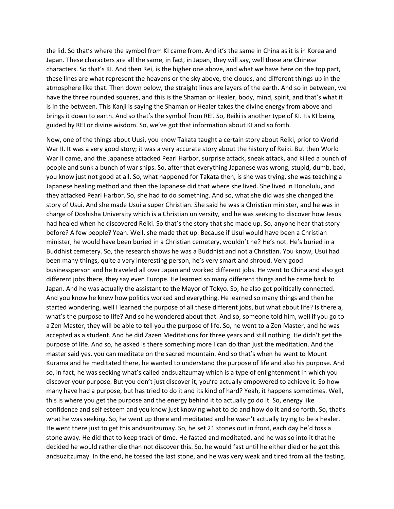the lid. So that's where the symbol from KI came from. And it's the same in China as it is in Korea and Japan. These characters are all the same, in fact, in Japan, they will say, well these are Chinese characters. So that's KI. And then Rei, is the higher one above, and what we have here on the top part, these lines are what represent the heavens or the sky above, the clouds, and different things up in the atmosphere like that. Then down below, the straight lines are layers of the earth. And so in between, we have the three rounded squares, and this is the Shaman or Healer, body, mind, spirit, and that's what it is in the between. This Kanji is saying the Shaman or Healer takes the divine energy from above and brings it down to earth. And so that's the symbol from REI. So, Reiki is another type of KI. Its KI being guided by REI or divine wisdom. So, we've got that information about KI and so forth.

Now, one of the things about Uusi, you know Takata taught a certain story about Reiki, prior to World War II. It was a very good story; it was a very accurate story about the history of Reiki. But then World War II came, and the Japanese attacked Pearl Harbor, surprise attack, sneak attack, and killed a bunch of people and sunk a bunch of war ships. So, after that everything Japanese was wrong, stupid, dumb, bad, you know just not good at all. So, what happened for Takata then, is she was trying, she was teaching a Japanese healing method and then the Japanese did that where she lived. She lived in Honolulu, and they attacked Pearl Harbor. So, she had to do something. And so, what she did was she changed the story of Usui. And she made Usui a super Christian. She said he was a Christian minister, and he was in charge of Doshisha University which is a Christian university, and he was seeking to discover how Jesus had healed when he discovered Reiki. So that's the story that she made up. So, anyone hear that story before? A few people? Yeah. Well, she made that up. Because if Usui would have been a Christian minister, he would have been buried in a Christian cemetery, wouldn't he? He's not. He's buried in a Buddhist cemetery. So, the research shows he was a Buddhist and not a Christian. You know, Usui had been many things, quite a very interesting person, he's very smart and shroud. Very good businessperson and he traveled all over Japan and worked different jobs. He went to China and also got different jobs there, they say even Europe. He learned so many different things and he came back to Japan. And he was actually the assistant to the Mayor of Tokyo. So, he also got politically connected. And you know he knew how politics worked and everything. He learned so many things and then he started wondering, well I learned the purpose of all these different jobs, but what about life? Is there a, what's the purpose to life? And so he wondered about that. And so, someone told him, well if you go to a Zen Master, they will be able to tell you the purpose of life. So, he went to a Zen Master, and he was accepted as a student. And he did Zazen Meditations for three years and still nothing. He didn't get the purpose of life. And so, he asked is there something more I can do than just the meditation. And the master said yes, you can meditate on the sacred mountain. And so that's when he went to Mount Kurama and he meditated there, he wanted to understand the purpose of life and also his purpose. And so, in fact, he was seeking what's called andsuzitzumay which is a type of enlightenment in which you discover your purpose. But you don't just discover it, you're actually empowered to achieve it. So how many have had a purpose, but has tried to do it and its kind of hard? Yeah, it happens sometimes. Well, this is where you get the purpose and the energy behind it to actually go do it. So, energy like confidence and self esteem and you know just knowing what to do and how do it and so forth. So, that's what he was seeking. So, he went up there and meditated and he wasn't actually trying to be a healer. He went there just to get this andsuzitzumay. So, he set 21 stones out in front, each day he'd toss a stone away. He did that to keep track of time. He fasted and meditated, and he was so into it that he decided he would rather die than not discover this. So, he would fast until he either died or he got this andsuzitzumay. In the end, he tossed the last stone, and he was very weak and tired from all the fasting.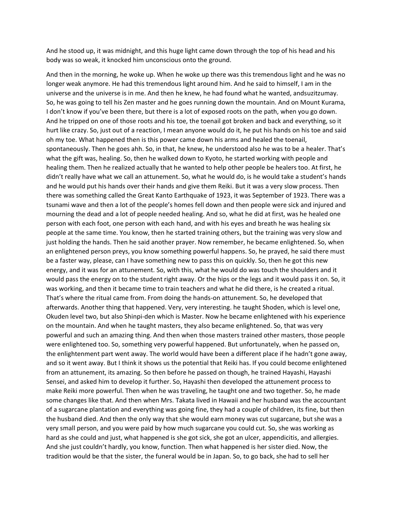And he stood up, it was midnight, and this huge light came down through the top of his head and his body was so weak, it knocked him unconscious onto the ground.

And then in the morning, he woke up. When he woke up there was this tremendous light and he was no longer weak anymore. He had this tremendous light around him. And he said to himself, I am in the universe and the universe is in me. And then he knew, he had found what he wanted, andsuzitzumay. So, he was going to tell his Zen master and he goes running down the mountain. And on Mount Kurama, I don't know if you've been there, but there is a lot of exposed roots on the path, when you go down. And he tripped on one of those roots and his toe, the toenail got broken and back and everything, so it hurt like crazy. So, just out of a reaction, I mean anyone would do it, he put his hands on his toe and said oh my toe. What happened then is this power came down his arms and healed the toenail, spontaneously. Then he goes ahh. So, in that, he knew, he understood also he was to be a healer. That's what the gift was, healing. So, then he walked down to Kyoto, he started working with people and healing them. Then he realized actually that he wanted to help other people be healers too. At first, he didn't really have what we call an attunement. So, what he would do, is he would take a student's hands and he would put his hands over their hands and give them Reiki. But it was a very slow process. Then there was something called the Great Kanto Earthquake of 1923, it was September of 1923. There was a tsunami wave and then a lot of the people's homes fell down and then people were sick and injured and mourning the dead and a lot of people needed healing. And so, what he did at first, was he healed one person with each foot, one person with each hand, and with his eyes and breath he was healing six people at the same time. You know, then he started training others, but the training was very slow and just holding the hands. Then he said another prayer. Now remember, he became enlightened. So, when an enlightened person preys, you know something powerful happens. So, he prayed, he said there must be a faster way, please, can I have something new to pass this on quickly. So, then he got this new energy, and it was for an attunement. So, with this, what he would do was touch the shoulders and it would pass the energy on to the student right away. Or the hips or the legs and it would pass it on. So, it was working, and then it became time to train teachers and what he did there, is he created a ritual. That's where the ritual came from. From doing the hands-on attunement. So, he developed that afterwards. Another thing that happened. Very, very interesting. he taught Shoden, which is level one, Okuden level two, but also Shinpi-den which is Master. Now he became enlightened with his experience on the mountain. And when he taught masters, they also became enlightened. So, that was very powerful and such an amazing thing. And then when those masters trained other masters, those people were enlightened too. So, something very powerful happened. But unfortunately, when he passed on, the enlightenment part went away. The world would have been a different place if he hadn't gone away, and so it went away. But I think it shows us the potential that Reiki has. If you could become enlightened from an attunement, its amazing. So then before he passed on though, he trained Hayashi, Hayashi Sensei, and asked him to develop it further. So, Hayashi then developed the attunement process to make Reiki more powerful. Then when he was traveling, he taught one and two together. So, he made some changes like that. And then when Mrs. Takata lived in Hawaii and her husband was the accountant of a sugarcane plantation and everything was going fine, they had a couple of children, its fine, but then the husband died. And then the only way that she would earn money was cut sugarcane, but she was a very small person, and you were paid by how much sugarcane you could cut. So, she was working as hard as she could and just, what happened is she got sick, she got an ulcer, appendicitis, and allergies. And she just couldn't hardly, you know, function. Then what happened is her sister died. Now, the tradition would be that the sister, the funeral would be in Japan. So, to go back, she had to sell her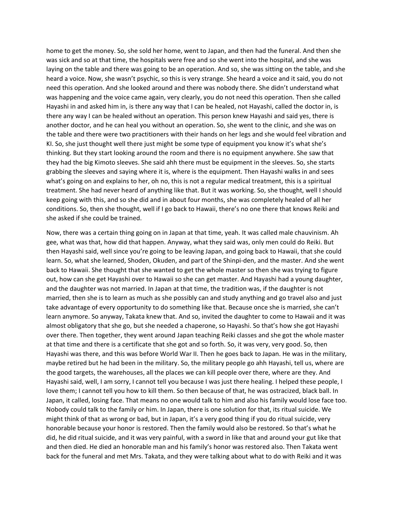home to get the money. So, she sold her home, went to Japan, and then had the funeral. And then she was sick and so at that time, the hospitals were free and so she went into the hospital, and she was laying on the table and there was going to be an operation. And so, she was sitting on the table, and she heard a voice. Now, she wasn't psychic, so this is very strange. She heard a voice and it said, you do not need this operation. And she looked around and there was nobody there. She didn't understand what was happening and the voice came again, very clearly, you do not need this operation. Then she called Hayashi in and asked him in, is there any way that I can be healed, not Hayashi, called the doctor in, is there any way I can be healed without an operation. This person knew Hayashi and said yes, there is another doctor, and he can heal you without an operation. So, she went to the clinic, and she was on the table and there were two practitioners with their hands on her legs and she would feel vibration and KI. So, she just thought well there just might be some type of equipment you know it's what she's thinking. But they start looking around the room and there is no equipment anywhere. She saw that they had the big Kimoto sleeves. She said ahh there must be equipment in the sleeves. So, she starts grabbing the sleeves and saying where it is, where is the equipment. Then Hayashi walks in and sees what's going on and explains to her, oh no, this is not a regular medical treatment, this is a spiritual treatment. She had never heard of anything like that. But it was working. So, she thought, well I should keep going with this, and so she did and in about four months, she was completely healed of all her conditions. So, then she thought, well if I go back to Hawaii, there's no one there that knows Reiki and she asked if she could be trained.

Now, there was a certain thing going on in Japan at that time, yeah. It was called male chauvinism. Ah gee, what was that, how did that happen. Anyway, what they said was, only men could do Reiki. But then Hayashi said, well since you're going to be leaving Japan, and going back to Hawaii, that she could learn. So, what she learned, Shoden, Okuden, and part of the Shinpi-den, and the master. And she went back to Hawaii. She thought that she wanted to get the whole master so then she was trying to figure out, how can she get Hayashi over to Hawaii so she can get master. And Hayashi had a young daughter, and the daughter was not married. In Japan at that time, the tradition was, if the daughter is not married, then she is to learn as much as she possibly can and study anything and go travel also and just take advantage of every opportunity to do something like that. Because once she is married, she can't learn anymore. So anyway, Takata knew that. And so, invited the daughter to come to Hawaii and it was almost obligatory that she go, but she needed a chaperone, so Hayashi. So that's how she got Hayashi over there. Then together, they went around Japan teaching Reiki classes and she got the whole master at that time and there is a certificate that she got and so forth. So, it was very, very good. So, then Hayashi was there, and this was before World War II. Then he goes back to Japan. He was in the military, maybe retired but he had been in the military. So, the military people go ahh Hayashi, tell us, where are the good targets, the warehouses, all the places we can kill people over there, where are they. And Hayashi said, well, I am sorry, I cannot tell you because I was just there healing. I helped these people, I love them; I cannot tell you how to kill them. So then because of that, he was ostracized, black ball. In Japan, it called, losing face. That means no one would talk to him and also his family would lose face too. Nobody could talk to the family or him. In Japan, there is one solution for that, its ritual suicide. We might think of that as wrong or bad, but in Japan, it's a very good thing if you do ritual suicide, very honorable because your honor is restored. Then the family would also be restored. So that's what he did, he did ritual suicide, and it was very painful, with a sword in like that and around your gut like that and then died. He died an honorable man and his family's honor was restored also. Then Takata went back for the funeral and met Mrs. Takata, and they were talking about what to do with Reiki and it was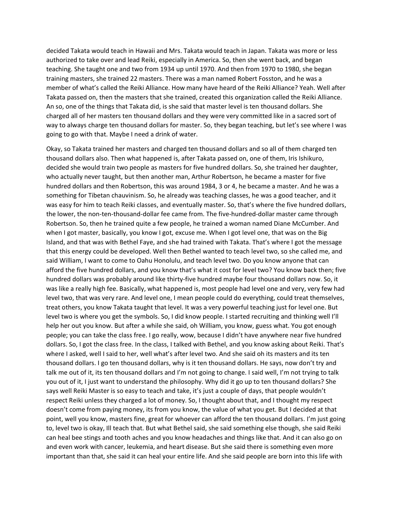decided Takata would teach in Hawaii and Mrs. Takata would teach in Japan. Takata was more or less authorized to take over and lead Reiki, especially in America. So, then she went back, and began teaching. She taught one and two from 1934 up until 1970. And then from 1970 to 1980, she began training masters, she trained 22 masters. There was a man named Robert Fosston, and he was a member of what's called the Reiki Alliance. How many have heard of the Reiki Alliance? Yeah. Well after Takata passed on, then the masters that she trained, created this organization called the Reiki Alliance. An so, one of the things that Takata did, is she said that master level is ten thousand dollars. She charged all of her masters ten thousand dollars and they were very committed like in a sacred sort of way to always charge ten thousand dollars for master. So, they began teaching, but let's see where I was going to go with that. Maybe I need a drink of water.

Okay, so Takata trained her masters and charged ten thousand dollars and so all of them charged ten thousand dollars also. Then what happened is, after Takata passed on, one of them, Iris Ishikuro, decided she would train two people as masters for five hundred dollars. So, she trained her daughter, who actually never taught, but then another man, Arthur Robertson, he became a master for five hundred dollars and then Robertson, this was around 1984, 3 or 4, he became a master. And he was a something for Tibetan chauvinism. So, he already was teaching classes, he was a good teacher, and it was easy for him to teach Reiki classes, and eventually master. So, that's where the five hundred dollars, the lower, the non-ten-thousand-dollar fee came from. The five-hundred-dollar master came through Robertson. So, then he trained quite a few people, he trained a woman named Diane McCumber. And when I got master, basically, you know I got, excuse me. When I got level one, that was on the Big Island, and that was with Bethel Faye, and she had trained with Takata. That's where I got the message that this energy could be developed. Well then Bethel wanted to teach level two, so she called me, and said William, I want to come to Oahu Honolulu, and teach level two. Do you know anyone that can afford the five hundred dollars, and you know that's what it cost for level two? You know back then; five hundred dollars was probably around like thirty-five hundred maybe four thousand dollars now. So, it was like a really high fee. Basically, what happened is, most people had level one and very, very few had level two, that was very rare. And level one, I mean people could do everything, could treat themselves, treat others, you know Takata taught that level. It was a very powerful teaching just for level one. But level two is where you get the symbols. So, I did know people. I started recruiting and thinking well I'll help her out you know. But after a while she said, oh William, you know, guess what. You got enough people; you can take the class free. I go really, wow, because I didn't have anywhere near five hundred dollars. So, I got the class free. In the class, I talked with Bethel, and you know asking about Reiki. That's where I asked, well I said to her, well what's after level two. And she said oh its masters and its ten thousand dollars. I go ten thousand dollars, why is it ten thousand dollars. He says, now don't try and talk me out of it, its ten thousand dollars and I'm not going to change. I said well, I'm not trying to talk you out of it, I just want to understand the philosophy. Why did it go up to ten thousand dollars? She says well Reiki Master is so easy to teach and take, it's just a couple of days, that people wouldn't respect Reiki unless they charged a lot of money. So, I thought about that, and I thought my respect doesn't come from paying money, its from you know, the value of what you get. But I decided at that point, well you know, masters fine, great for whoever can afford the ten thousand dollars. I'm just going to, level two is okay, Ill teach that. But what Bethel said, she said something else though, she said Reiki can heal bee stings and tooth aches and you know headaches and things like that. And it can also go on and even work with cancer, leukemia, and heart disease. But she said there is something even more important than that, she said it can heal your entire life. And she said people are born into this life with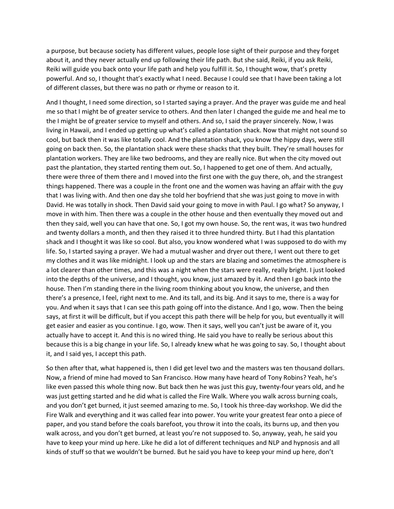a purpose, but because society has different values, people lose sight of their purpose and they forget about it, and they never actually end up following their life path. But she said, Reiki, if you ask Reiki, Reiki will guide you back onto your life path and help you fulfill it. So, I thought wow, that's pretty powerful. And so, I thought that's exactly what I need. Because I could see that I have been taking a lot of different classes, but there was no path or rhyme or reason to it.

And I thought, I need some direction, so I started saying a prayer. And the prayer was guide me and heal me so that I might be of greater service to others. And then later I changed the guide me and heal me to the I might be of greater service to myself and others. And so, I said the prayer sincerely. Now, I was living in Hawaii, and I ended up getting up what's called a plantation shack. Now that might not sound so cool, but back then it was like totally cool. And the plantation shack, you know the hippy days, were still going on back then. So, the plantation shack were these shacks that they built. They're small houses for plantation workers. They are like two bedrooms, and they are really nice. But when the city moved out past the plantation, they started renting them out. So, I happened to get one of them. And actually, there were three of them there and I moved into the first one with the guy there, oh, and the strangest things happened. There was a couple in the front one and the women was having an affair with the guy that I was living with. And then one day she told her boyfriend that she was just going to move in with David. He was totally in shock. Then David said your going to move in with Paul. I go what? So anyway, I move in with him. Then there was a couple in the other house and then eventually they moved out and then they said, well you can have that one. So, I got my own house. So, the rent was, it was two hundred and twenty dollars a month, and then they raised it to three hundred thirty. But I had this plantation shack and I thought it was like so cool. But also, you know wondered what I was supposed to do with my life. So, I started saying a prayer. We had a mutual washer and dryer out there, I went out there to get my clothes and it was like midnight. I look up and the stars are blazing and sometimes the atmosphere is a lot clearer than other times, and this was a night when the stars were really, really bright. I just looked into the depths of the universe, and I thought, you know, just amazed by it. And then I go back into the house. Then I'm standing there in the living room thinking about you know, the universe, and then there's a presence, I feel, right next to me. And its tall, and its big. And it says to me, there is a way for you. And when it says that I can see this path going off into the distance. And I go, wow. Then the being says, at first it will be difficult, but if you accept this path there will be help for you, but eventually it will get easier and easier as you continue. I go, wow. Then it says, well you can't just be aware of it, you actually have to accept it. And this is no wired thing. He said you have to really be serious about this because this is a big change in your life. So, I already knew what he was going to say. So, I thought about it, and I said yes, I accept this path.

So then after that, what happened is, then I did get level two and the masters was ten thousand dollars. Now, a friend of mine had moved to San Francisco. How many have heard of Tony Robins? Yeah, he's like even passed this whole thing now. But back then he was just this guy, twenty-four years old, and he was just getting started and he did what is called the Fire Walk. Where you walk across burning coals, and you don't get burned, it just seemed amazing to me. So, I took his three-day workshop. We did the Fire Walk and everything and it was called fear into power. You write your greatest fear onto a piece of paper, and you stand before the coals barefoot, you throw it into the coals, its burns up, and then you walk across, and you don't get burned, at least you're not supposed to. So, anyway, yeah, he said you have to keep your mind up here. Like he did a lot of different techniques and NLP and hypnosis and all kinds of stuff so that we wouldn't be burned. But he said you have to keep your mind up here, don't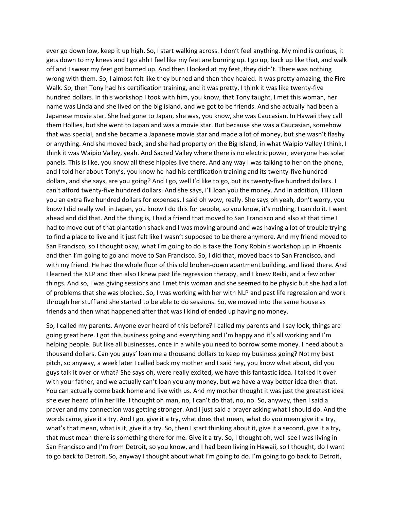ever go down low, keep it up high. So, I start walking across. I don't feel anything. My mind is curious, it gets down to my knees and I go ahh I feel like my feet are burning up. I go up, back up like that, and walk off and I swear my feet got burned up. And then I looked at my feet, they didn't. There was nothing wrong with them. So, I almost felt like they burned and then they healed. It was pretty amazing, the Fire Walk. So, then Tony had his certification training, and it was pretty, I think it was like twenty-five hundred dollars. In this workshop I took with him, you know, that Tony taught, I met this woman, her name was Linda and she lived on the big island, and we got to be friends. And she actually had been a Japanese movie star. She had gone to Japan, she was, you know, she was Caucasian. In Hawaii they call them Hollies, but she went to Japan and was a movie star. But because she was a Caucasian, somehow that was special, and she became a Japanese movie star and made a lot of money, but she wasn't flashy or anything. And she moved back, and she had property on the Big Island, in what Waipio Valley I think, I think it was Waipio Valley, yeah. And Sacred Valley where there is no electric power, everyone has solar panels. This is like, you know all these hippies live there. And any way I was talking to her on the phone, and I told her about Tony's, you know he had his certification training and its twenty-five hundred dollars, and she says, are you going? And I go, well I'd like to go, but its twenty-five hundred dollars. I can't afford twenty-five hundred dollars. And she says, I'll loan you the money. And in addition, I'll loan you an extra five hundred dollars for expenses. I said oh wow, really. She says oh yeah, don't worry, you know I did really well in Japan, you know I do this for people, so you know, it's nothing, I can do it. I went ahead and did that. And the thing is, I had a friend that moved to San Francisco and also at that time I had to move out of that plantation shack and I was moving around and was having a lot of trouble trying to find a place to live and it just felt like I wasn't supposed to be there anymore. And my friend moved to San Francisco, so I thought okay, what I'm going to do is take the Tony Robin's workshop up in Phoenix and then I'm going to go and move to San Francisco. So, I did that, moved back to San Francisco, and with my friend. He had the whole floor of this old broken-down apartment building, and lived there. And I learned the NLP and then also I knew past life regression therapy, and I knew Reiki, and a few other things. And so, I was giving sessions and I met this woman and she seemed to be physic but she had a lot of problems that she was blocked. So, I was working with her with NLP and past life regression and work through her stuff and she started to be able to do sessions. So, we moved into the same house as friends and then what happened after that was I kind of ended up having no money.

So, I called my parents. Anyone ever heard of this before? I called my parents and I say look, things are going great here. I got this business going and everything and I'm happy and it's all working and I'm helping people. But like all businesses, once in a while you need to borrow some money. I need about a thousand dollars. Can you guys' loan me a thousand dollars to keep my business going? Not my best pitch, so anyway, a week later I called back my mother and I said hey, you know what about, did you guys talk it over or what? She says oh, were really excited, we have this fantastic idea. I talked it over with your father, and we actually can't loan you any money, but we have a way better idea then that. You can actually come back home and live with us. And my mother thought it was just the greatest idea she ever heard of in her life. I thought oh man, no, I can't do that, no, no. So, anyway, then I said a prayer and my connection was getting stronger. And I just said a prayer asking what I should do. And the words came, give it a try. And I go, give it a try, what does that mean, what do you mean give it a try, what's that mean, what is it, give it a try. So, then I start thinking about it, give it a second, give it a try, that must mean there is something there for me. Give it a try. So, I thought oh, well see I was living in San Francisco and I'm from Detroit, so you know, and I had been living in Hawaii, so I thought, do I want to go back to Detroit. So, anyway I thought about what I'm going to do. I'm going to go back to Detroit,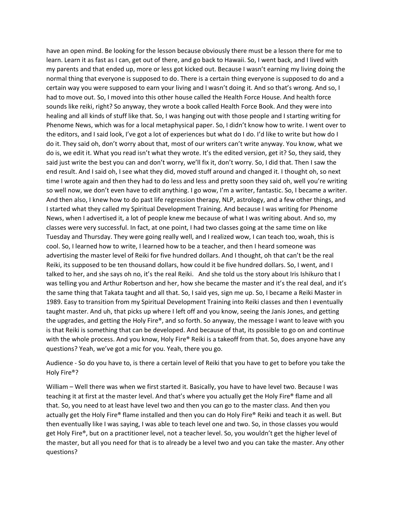have an open mind. Be looking for the lesson because obviously there must be a lesson there for me to learn. Learn it as fast as I can, get out of there, and go back to Hawaii. So, I went back, and I lived with my parents and that ended up, more or less got kicked out. Because I wasn't earning my living doing the normal thing that everyone is supposed to do. There is a certain thing everyone is supposed to do and a certain way you were supposed to earn your living and I wasn't doing it. And so that's wrong. And so, I had to move out. So, I moved into this other house called the Health Force House. And health force sounds like reiki, right? So anyway, they wrote a book called Health Force Book. And they were into healing and all kinds of stuff like that. So, I was hanging out with those people and I starting writing for Phenome News, which was for a local metaphysical paper. So, I didn't know how to write. I went over to the editors, and I said look, I've got a lot of experiences but what do I do. I'd like to write but how do I do it. They said oh, don't worry about that, most of our writers can't write anyway. You know, what we do is, we edit it. What you read isn't what they wrote. It's the edited version, get it? So, they said, they said just write the best you can and don't worry, we'll fix it, don't worry. So, I did that. Then I saw the end result. And I said oh, I see what they did, moved stuff around and changed it. I thought oh, so next time I wrote again and then they had to do less and less and pretty soon they said oh, well you're writing so well now, we don't even have to edit anything. I go wow, I'm a writer, fantastic. So, I became a writer. And then also, I knew how to do past life regression therapy, NLP, astrology, and a few other things, and I started what they called my Spiritual Development Training. And because I was writing for Phenome News, when I advertised it, a lot of people knew me because of what I was writing about. And so, my classes were very successful. In fact, at one point, I had two classes going at the same time on like Tuesday and Thursday. They were going really well, and I realized wow, I can teach too, woah, this is cool. So, I learned how to write, I learned how to be a teacher, and then I heard someone was advertising the master level of Reiki for five hundred dollars. And I thought, oh that can't be the real Reiki, its supposed to be ten thousand dollars, how could it be five hundred dollars. So, I went, and I talked to her, and she says oh no, it's the real Reiki. And she told us the story about Iris Ishikuro that I was telling you and Arthur Robertson and her, how she became the master and it's the real deal, and it's the same thing that Takata taught and all that. So, I said yes, sign me up. So, I became a Reiki Master in 1989. Easy to transition from my Spiritual Development Training into Reiki classes and then I eventually taught master. And uh, that picks up where I left off and you know, seeing the Janis Jones, and getting the upgrades, and getting the Holy Fire®, and so forth. So anyway, the message I want to leave with you is that Reiki is something that can be developed. And because of that, its possible to go on and continue with the whole process. And you know, Holy Fire® Reiki is a takeoff from that. So, does anyone have any questions? Yeah, we've got a mic for you. Yeah, there you go.

Audience - So do you have to, is there a certain level of Reiki that you have to get to before you take the Holy Fire®?

William – Well there was when we first started it. Basically, you have to have level two. Because I was teaching it at first at the master level. And that's where you actually get the Holy Fire® flame and all that. So, you need to at least have level two and then you can go to the master class. And then you actually get the Holy Fire® flame installed and then you can do Holy Fire® Reiki and teach it as well. But then eventually like I was saying, I was able to teach level one and two. So, in those classes you would get Holy Fire®, but on a practitioner level, not a teacher level. So, you wouldn't get the higher level of the master, but all you need for that is to already be a level two and you can take the master. Any other questions?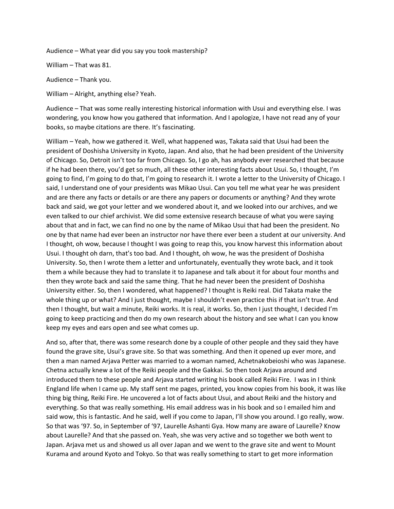Audience – What year did you say you took mastership?

William – That was 81.

Audience – Thank you.

William – Alright, anything else? Yeah.

Audience – That was some really interesting historical information with Usui and everything else. I was wondering, you know how you gathered that information. And I apologize, I have not read any of your books, so maybe citations are there. It's fascinating.

William – Yeah, how we gathered it. Well, what happened was, Takata said that Usui had been the president of Doshisha University in Kyoto, Japan. And also, that he had been president of the University of Chicago. So, Detroit isn't too far from Chicago. So, I go ah, has anybody ever researched that because if he had been there, you'd get so much, all these other interesting facts about Usui. So, I thought, I'm going to find, I'm going to do that, I'm going to research it. I wrote a letter to the University of Chicago. I said, I understand one of your presidents was Mikao Usui. Can you tell me what year he was president and are there any facts or details or are there any papers or documents or anything? And they wrote back and said, we got your letter and we wondered about it, and we looked into our archives, and we even talked to our chief archivist. We did some extensive research because of what you were saying about that and in fact, we can find no one by the name of Mikao Usui that had been the president. No one by that name had ever been an instructor nor have there ever been a student at our university. And I thought, oh wow, because I thought I was going to reap this, you know harvest this information about Usui. I thought oh darn, that's too bad. And I thought, oh wow, he was the president of Doshisha University. So, then I wrote them a letter and unfortunately, eventually they wrote back, and it took them a while because they had to translate it to Japanese and talk about it for about four months and then they wrote back and said the same thing. That he had never been the president of Doshisha University either. So, then I wondered, what happened? I thought is Reiki real. Did Takata make the whole thing up or what? And I just thought, maybe I shouldn't even practice this if that isn't true. And then I thought, but wait a minute, Reiki works. It is real, it works. So, then I just thought, I decided I'm going to keep practicing and then do my own research about the history and see what I can you know keep my eyes and ears open and see what comes up.

And so, after that, there was some research done by a couple of other people and they said they have found the grave site, Usui's grave site. So that was something. And then it opened up ever more, and then a man named Arjava Petter was married to a woman named, Achetnakobeioshi who was Japanese. Chetna actually knew a lot of the Reiki people and the Gakkai. So then took Arjava around and introduced them to these people and Arjava started writing his book called Reiki Fire. I was in I think England life when I came up. My staff sent me pages, printed, you know copies from his book, it was like thing big thing, Reiki Fire. He uncovered a lot of facts about Usui, and about Reiki and the history and everything. So that was really something. His email address was in his book and so I emailed him and said wow, this is fantastic. And he said, well if you come to Japan, I'll show you around. I go really, wow. So that was '97. So, in September of '97, Laurelle Ashanti Gya. How many are aware of Laurelle? Know about Laurelle? And that she passed on. Yeah, she was very active and so together we both went to Japan. Arjava met us and showed us all over Japan and we went to the grave site and went to Mount Kurama and around Kyoto and Tokyo. So that was really something to start to get more information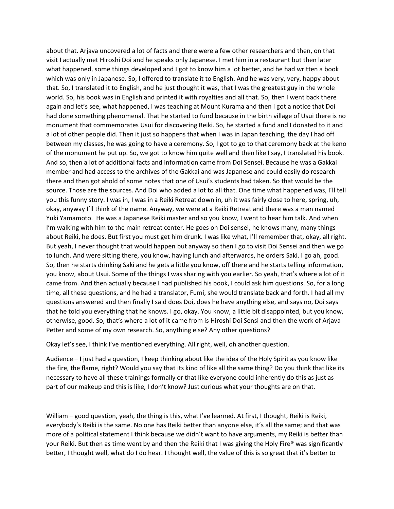about that. Arjava uncovered a lot of facts and there were a few other researchers and then, on that visit I actually met Hiroshi Doi and he speaks only Japanese. I met him in a restaurant but then later what happened, some things developed and I got to know him a lot better, and he had written a book which was only in Japanese. So, I offered to translate it to English. And he was very, very, happy about that. So, I translated it to English, and he just thought it was, that I was the greatest guy in the whole world. So, his book was in English and printed it with royalties and all that. So, then I went back there again and let's see, what happened, I was teaching at Mount Kurama and then I got a notice that Doi had done something phenomenal. That he started to fund because in the birth village of Usui there is no monument that commemorates Usui for discovering Reiki. So, he started a fund and I donated to it and a lot of other people did. Then it just so happens that when I was in Japan teaching, the day I had off between my classes, he was going to have a ceremony. So, I got to go to that ceremony back at the keno of the monument he put up. So, we got to know him quite well and then like I say, I translated his book. And so, then a lot of additional facts and information came from Doi Sensei. Because he was a Gakkai member and had access to the archives of the Gakkai and was Japanese and could easily do research there and then got ahold of some notes that one of Usui's students had taken. So that would be the source. Those are the sources. And Doi who added a lot to all that. One time what happened was, I'll tell you this funny story. I was in, I was in a Reiki Retreat down in, uh it was fairly close to here, spring, uh, okay, anyway I'll think of the name. Anyway, we were at a Reiki Retreat and there was a man named Yuki Yamamoto. He was a Japanese Reiki master and so you know, I went to hear him talk. And when I'm walking with him to the main retreat center. He goes oh Doi sensei, he knows many, many things about Reiki, he does. But first you must get him drunk. I was like what, I'll remember that, okay, all right. But yeah, I never thought that would happen but anyway so then I go to visit Doi Sensei and then we go to lunch. And were sitting there, you know, having lunch and afterwards, he orders Saki. I go ah, good. So, then he starts drinking Saki and he gets a little you know, off there and he starts telling information, you know, about Usui. Some of the things I was sharing with you earlier. So yeah, that's where a lot of it came from. And then actually because I had published his book, I could ask him questions. So, for a long time, all these questions, and he had a translator, Fumi, she would translate back and forth. I had all my questions answered and then finally I said does Doi, does he have anything else, and says no, Doi says that he told you everything that he knows. I go, okay. You know, a little bit disappointed, but you know, otherwise, good. So, that's where a lot of it came from is Hiroshi Doi Sensi and then the work of Arjava Petter and some of my own research. So, anything else? Any other questions?

Okay let's see, I think I've mentioned everything. All right, well, oh another question.

Audience – I just had a question, I keep thinking about like the idea of the Holy Spirit as you know like the fire, the flame, right? Would you say that its kind of like all the same thing? Do you think that like its necessary to have all these trainings formally or that like everyone could inherently do this as just as part of our makeup and this is like, I don't know? Just curious what your thoughts are on that.

William – good question, yeah, the thing is this, what I've learned. At first, I thought, Reiki is Reiki, everybody's Reiki is the same. No one has Reiki better than anyone else, it's all the same; and that was more of a political statement I think because we didn't want to have arguments, my Reiki is better than your Reiki. But then as time went by and then the Reiki that I was giving the Holy Fire® was significantly better, I thought well, what do I do hear. I thought well, the value of this is so great that it's better to